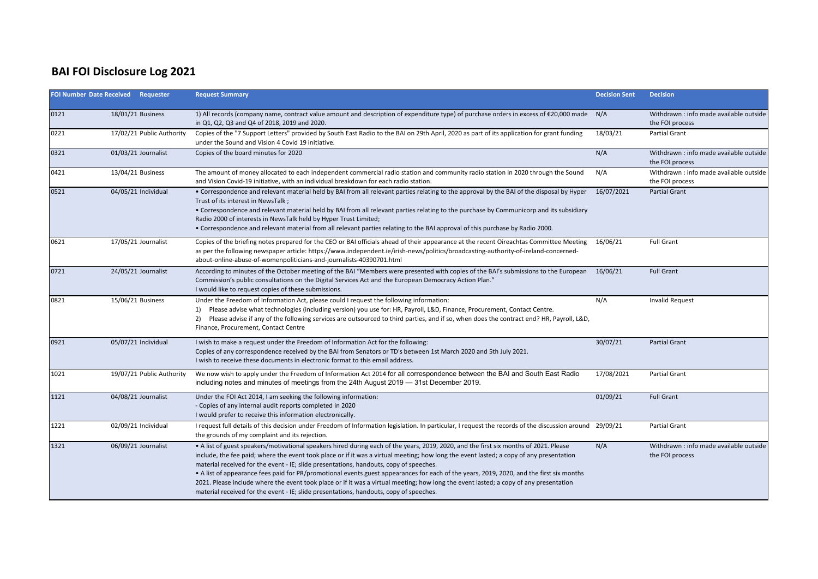## **BAI FOI Disclosure Log 2021**

|      | FOI Number Date Received Requester | <b>Request Summary</b>                                                                                                                                                                                                                                                                                                                                                                                                                                                                                                                                                                                                                                                                                                                                    | <b>Decision Sent</b> | <b>Decision</b>                                            |
|------|------------------------------------|-----------------------------------------------------------------------------------------------------------------------------------------------------------------------------------------------------------------------------------------------------------------------------------------------------------------------------------------------------------------------------------------------------------------------------------------------------------------------------------------------------------------------------------------------------------------------------------------------------------------------------------------------------------------------------------------------------------------------------------------------------------|----------------------|------------------------------------------------------------|
| 0121 | 18/01/21 Business                  | 1) All records (company name, contract value amount and description of expenditure type) of purchase orders in excess of €20,000 made<br>in Q1, Q2, Q3 and Q4 of 2018, 2019 and 2020.                                                                                                                                                                                                                                                                                                                                                                                                                                                                                                                                                                     | N/A                  | Withdrawn: info made available outside<br>the FOI process  |
| 0221 | 17/02/21 Public Authority          | Copies of the "7 Support Letters" provided by South East Radio to the BAI on 29th April, 2020 as part of its application for grant funding<br>under the Sound and Vision 4 Covid 19 initiative.                                                                                                                                                                                                                                                                                                                                                                                                                                                                                                                                                           | 18/03/21             | Partial Grant                                              |
| 0321 | 01/03/21 Journalist                | Copies of the board minutes for 2020                                                                                                                                                                                                                                                                                                                                                                                                                                                                                                                                                                                                                                                                                                                      | N/A                  | Withdrawn : info made available outside<br>the FOI process |
| 0421 | 13/04/21 Business                  | The amount of money allocated to each independent commercial radio station and community radio station in 2020 through the Sound<br>and Vision Covid-19 initiative, with an individual breakdown for each radio station.                                                                                                                                                                                                                                                                                                                                                                                                                                                                                                                                  | N/A                  | Withdrawn: info made available outside<br>the FOI process  |
| 0521 | 04/05/21 Individual                | • Correspondence and relevant material held by BAI from all relevant parties relating to the approval by the BAI of the disposal by Hyper<br>Trust of its interest in NewsTalk ;<br>• Correspondence and relevant material held by BAI from all relevant parties relating to the purchase by Communicorp and its subsidiary<br>Radio 2000 of interests in NewsTalk held by Hyper Trust Limited;<br>. Correspondence and relevant material from all relevant parties relating to the BAI approval of this purchase by Radio 2000.                                                                                                                                                                                                                          | 16/07/2021           | <b>Partial Grant</b>                                       |
| 0621 | 17/05/21 Journalist                | Copies of the briefing notes prepared for the CEO or BAI officials ahead of their appearance at the recent Oireachtas Committee Meeting<br>as per the following newspaper article: https://www.independent.ie/irish-news/politics/broadcasting-authority-of-ireland-concerned-<br>about-online-abuse-of-womenpoliticians-and-journalists-40390701.html                                                                                                                                                                                                                                                                                                                                                                                                    | 16/06/21             | <b>Full Grant</b>                                          |
| 0721 | 24/05/21 Journalist                | According to minutes of the October meeting of the BAI "Members were presented with copies of the BAI's submissions to the European<br>Commission's public consultations on the Digital Services Act and the European Democracy Action Plan."<br>I would like to request copies of these submissions.                                                                                                                                                                                                                                                                                                                                                                                                                                                     | 16/06/21             | <b>Full Grant</b>                                          |
| 0821 | 15/06/21 Business                  | Under the Freedom of Information Act, please could I request the following information:<br>Please advise what technologies (including version) you use for: HR, Payroll, L&D, Finance, Procurement, Contact Centre.<br>1)<br>2) Please advise if any of the following services are outsourced to third parties, and if so, when does the contract end? HR, Payroll, L&D,<br>Finance, Procurement, Contact Centre                                                                                                                                                                                                                                                                                                                                          | N/A                  | <b>Invalid Request</b>                                     |
| 0921 | 05/07/21 Individual                | I wish to make a request under the Freedom of Information Act for the following:<br>Copies of any correspondence received by the BAI from Senators or TD's between 1st March 2020 and 5th July 2021.<br>I wish to receive these documents in electronic format to this email address.                                                                                                                                                                                                                                                                                                                                                                                                                                                                     | 30/07/21             | <b>Partial Grant</b>                                       |
| 1021 | 19/07/21 Public Authority          | We now wish to apply under the Freedom of Information Act 2014 for all correspondence between the BAI and South East Radio<br>including notes and minutes of meetings from the 24th August 2019 - 31st December 2019.                                                                                                                                                                                                                                                                                                                                                                                                                                                                                                                                     | 17/08/2021           | <b>Partial Grant</b>                                       |
| 1121 | 04/08/21 Journalist                | Under the FOI Act 2014, I am seeking the following information:<br>- Copies of any internal audit reports completed in 2020<br>I would prefer to receive this information electronically.                                                                                                                                                                                                                                                                                                                                                                                                                                                                                                                                                                 | 01/09/21             | <b>Full Grant</b>                                          |
| 1221 | 02/09/21 Individual                | I request full details of this decision under Freedom of Information legislation. In particular, I request the records of the discussion around 29/09/21<br>the grounds of my complaint and its rejection.                                                                                                                                                                                                                                                                                                                                                                                                                                                                                                                                                |                      | Partial Grant                                              |
| 1321 | 06/09/21 Journalist                | • A list of guest speakers/motivational speakers hired during each of the years, 2019, 2020, and the first six months of 2021. Please<br>include, the fee paid; where the event took place or if it was a virtual meeting; how long the event lasted; a copy of any presentation<br>material received for the event - IE; slide presentations, handouts, copy of speeches.<br>• A list of appearance fees paid for PR/promotional events guest appearances for each of the years, 2019, 2020, and the first six months<br>2021. Please include where the event took place or if it was a virtual meeting; how long the event lasted; a copy of any presentation<br>material received for the event - IE; slide presentations, handouts, copy of speeches. | N/A                  | Withdrawn : info made available outside<br>the FOI process |